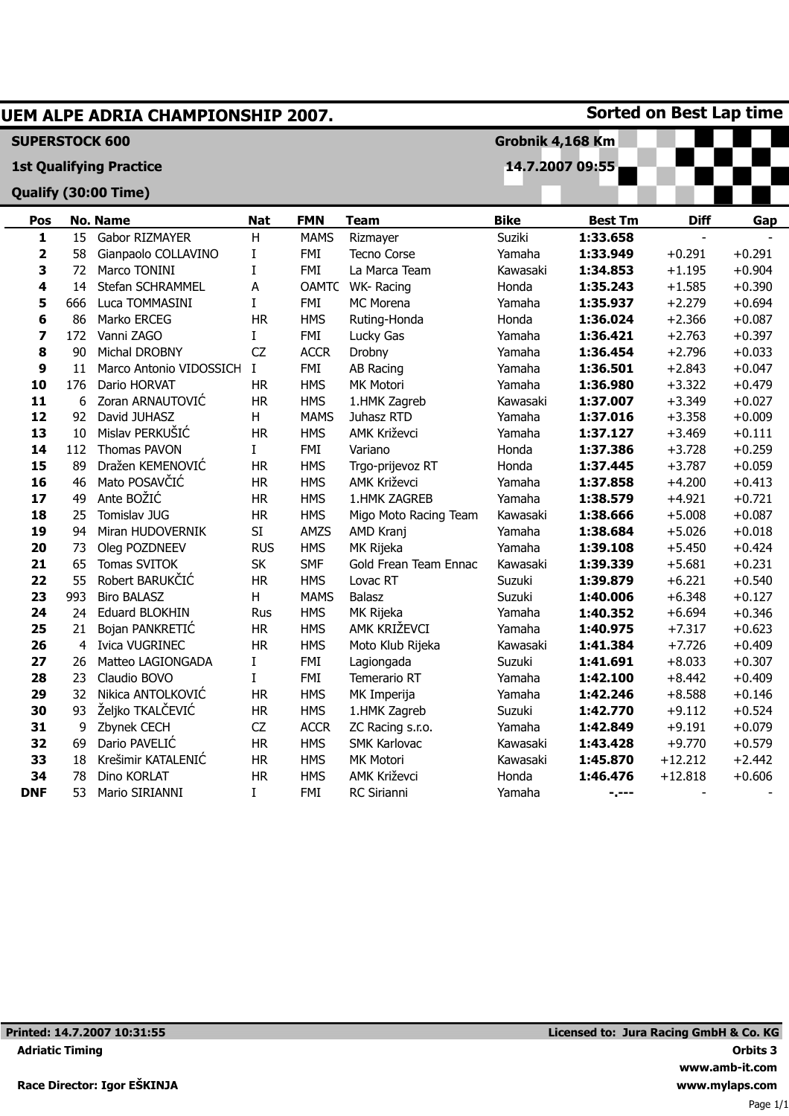|                         |     | UEM ALPE ADRIA CHAMPIONSHIP 2007. |            |              |                                     |             |                | <b>Sorted on Best Lap time</b> |          |
|-------------------------|-----|-----------------------------------|------------|--------------|-------------------------------------|-------------|----------------|--------------------------------|----------|
| <b>SUPERSTOCK 600</b>   |     |                                   |            |              | Grobnik 4,168 Km<br>14.7.2007 09:55 |             |                |                                |          |
|                         |     | <b>1st Qualifying Practice</b>    |            |              |                                     |             |                |                                |          |
|                         |     | Qualify (30:00 Time)              |            |              |                                     |             |                |                                |          |
| Pos                     |     | <b>No. Name</b>                   | <b>Nat</b> | <b>FMN</b>   | <b>Team</b>                         | <b>Bike</b> | <b>Best Tm</b> | <b>Diff</b>                    | Gap      |
| $\mathbf{1}$            | 15  | Gabor RIZMAYER                    | Н          | <b>MAMS</b>  | Rizmayer                            | Suziki      | 1:33.658       | $\blacksquare$                 |          |
| $\overline{\mathbf{2}}$ | 58  | Gianpaolo COLLAVINO               | Ι          | FMI          | <b>Tecno Corse</b>                  | Yamaha      | 1:33.949       | $+0.291$                       | $+0.291$ |
| 3                       | 72  | Marco TONINI                      | I          | <b>FMI</b>   | La Marca Team                       | Kawasaki    | 1:34.853       | $+1.195$                       | $+0.904$ |
| 4                       | 14  | Stefan SCHRAMMEL                  | Α          | <b>OAMTC</b> | WK-Racing                           | Honda       | 1:35.243       | $+1.585$                       | $+0.390$ |
| 5                       | 666 | Luca TOMMASINI                    | I          | <b>FMI</b>   | MC Morena                           | Yamaha      | 1:35.937       | $+2.279$                       | $+0.694$ |
| 6                       | 86  | Marko ERCEG                       | <b>HR</b>  | <b>HMS</b>   | Ruting-Honda                        | Honda       | 1:36.024       | $+2.366$                       | $+0.087$ |
| 7                       | 172 | Vanni ZAGO                        | I          | <b>FMI</b>   | Lucky Gas                           | Yamaha      | 1:36.421       | $+2.763$                       | $+0.397$ |
| 8                       | 90  | Michal DROBNY                     | CZ         | <b>ACCR</b>  | Drobny                              | Yamaha      | 1:36.454       | $+2.796$                       | $+0.033$ |
| 9                       | 11  | Marco Antonio VIDOSSICH           | I          | <b>FMI</b>   | AB Racing                           | Yamaha      | 1:36.501       | $+2.843$                       | $+0.047$ |
| 10                      | 176 | Dario HORVAT                      | <b>HR</b>  | <b>HMS</b>   | MK Motori                           | Yamaha      | 1:36.980       | $+3.322$                       | $+0.479$ |
| 11                      | 6   | Zoran ARNAUTOVIĆ                  | <b>HR</b>  | <b>HMS</b>   | 1.HMK Zagreb                        | Kawasaki    | 1:37.007       | $+3.349$                       | $+0.027$ |
| 12                      | 92  | David JUHASZ                      | H          | <b>MAMS</b>  | Juhasz RTD                          | Yamaha      | 1:37.016       | $+3.358$                       | $+0.009$ |
| 13                      | 10  | Mislav PERKUŠIĆ                   | <b>HR</b>  | <b>HMS</b>   | <b>AMK Križevci</b>                 | Yamaha      | 1:37.127       | $+3.469$                       | $+0.111$ |
| 14                      | 112 | <b>Thomas PAVON</b>               | L          | <b>FMI</b>   | Variano                             | Honda       | 1:37.386       | $+3.728$                       | $+0.259$ |
| 15                      | 89  | Dražen KEMENOVIĆ                  | <b>HR</b>  | <b>HMS</b>   | Trgo-prijevoz RT                    | Honda       | 1:37.445       | $+3.787$                       | $+0.059$ |
| 16                      | 46  | Mato POSAVČIĆ                     | <b>HR</b>  | <b>HMS</b>   | AMK Križevci                        | Yamaha      | 1:37.858       | $+4.200$                       | $+0.413$ |
| 17                      | 49  | Ante BOŽIĆ                        | <b>HR</b>  | <b>HMS</b>   | 1.HMK ZAGREB                        | Yamaha      | 1:38.579       | $+4.921$                       | $+0.721$ |
| 18                      | 25  | Tomislav JUG                      | <b>HR</b>  | <b>HMS</b>   | Migo Moto Racing Team               | Kawasaki    | 1:38.666       | $+5.008$                       | $+0.087$ |
| 19                      | 94  | Miran HUDOVERNIK                  | SI         | AMZS         | AMD Kranj                           | Yamaha      | 1:38.684       | $+5.026$                       | $+0.018$ |
| 20                      | 73  | Oleg POZDNEEV                     | <b>RUS</b> | <b>HMS</b>   | MK Rijeka                           | Yamaha      | 1:39.108       | $+5.450$                       | $+0.424$ |
| 21                      | 65  | Tomas SVITOK                      | <b>SK</b>  | <b>SMF</b>   | Gold Frean Team Ennac               | Kawasaki    | 1:39.339       | $+5.681$                       | $+0.231$ |
| 22                      | 55  | Robert BARUKČIĆ                   | <b>HR</b>  | <b>HMS</b>   | Lovac RT                            | Suzuki      | 1:39.879       | $+6.221$                       | $+0.540$ |
| 23                      | 993 | <b>Biro BALASZ</b>                | H          | <b>MAMS</b>  | Balasz                              | Suzuki      | 1:40.006       | $+6.348$                       | $+0.127$ |
| 24                      | 24  | <b>Eduard BLOKHIN</b>             | Rus        | <b>HMS</b>   | MK Rijeka                           | Yamaha      | 1:40.352       | $+6.694$                       | $+0.346$ |
| 25                      | 21  | Bojan PANKRETIĆ                   | <b>HR</b>  | <b>HMS</b>   | AMK KRIŽEVCI                        | Yamaha      | 1:40.975       | $+7.317$                       | $+0.623$ |
| 26                      | 4   | <b>Ivica VUGRINEC</b>             | <b>HR</b>  | <b>HMS</b>   | Moto Klub Rijeka                    | Kawasaki    | 1:41.384       | $+7.726$                       | $+0.409$ |
| 27                      | 26  | Matteo LAGIONGADA                 | I          | FMI          | Lagiongada                          | Suzuki      | 1:41.691       | $+8.033$                       | $+0.307$ |
| 28                      | 23  | Claudio BOVO                      | I          | <b>FMI</b>   | <b>Temerario RT</b>                 | Yamaha      | 1:42.100       | $+8.442$                       | $+0.409$ |
| 29                      | 32  | Nikica ANTOLKOVIĆ                 | <b>HR</b>  | <b>HMS</b>   | MK Imperija                         | Yamaha      | 1:42.246       | $+8.588$                       | $+0.146$ |
| 30                      | 93  | Željko TKALČEVIĆ                  | <b>HR</b>  | <b>HMS</b>   | 1.HMK Zagreb                        | Suzuki      | 1:42.770       | $+9.112$                       | $+0.524$ |
| 31                      | 9   | Zbynek CECH                       | CZ         | <b>ACCR</b>  | ZC Racing s.r.o.                    | Yamaha      | 1:42.849       | $+9.191$                       | $+0.079$ |
| 32                      | 69  | Dario PAVELIĆ                     | <b>HR</b>  | <b>HMS</b>   | <b>SMK Karlovac</b>                 | Kawasaki    | 1:43.428       | $+9.770$                       | $+0.579$ |
| 33                      | 18  | Krešimir KATALENIĆ                | <b>HR</b>  | <b>HMS</b>   | MK Motori                           | Kawasaki    | 1:45.870       | $+12.212$                      | $+2.442$ |
| 34                      | 78  | Dino KORLAT                       | <b>HR</b>  | <b>HMS</b>   | AMK Križevci                        | Honda       | 1:46.476       | $+12.818$                      | $+0.606$ |
| <b>DNF</b>              | 53  | Mario SIRIANNI                    | I          | FMI          | RC Sirianni                         | Yamaha      | -.---          |                                |          |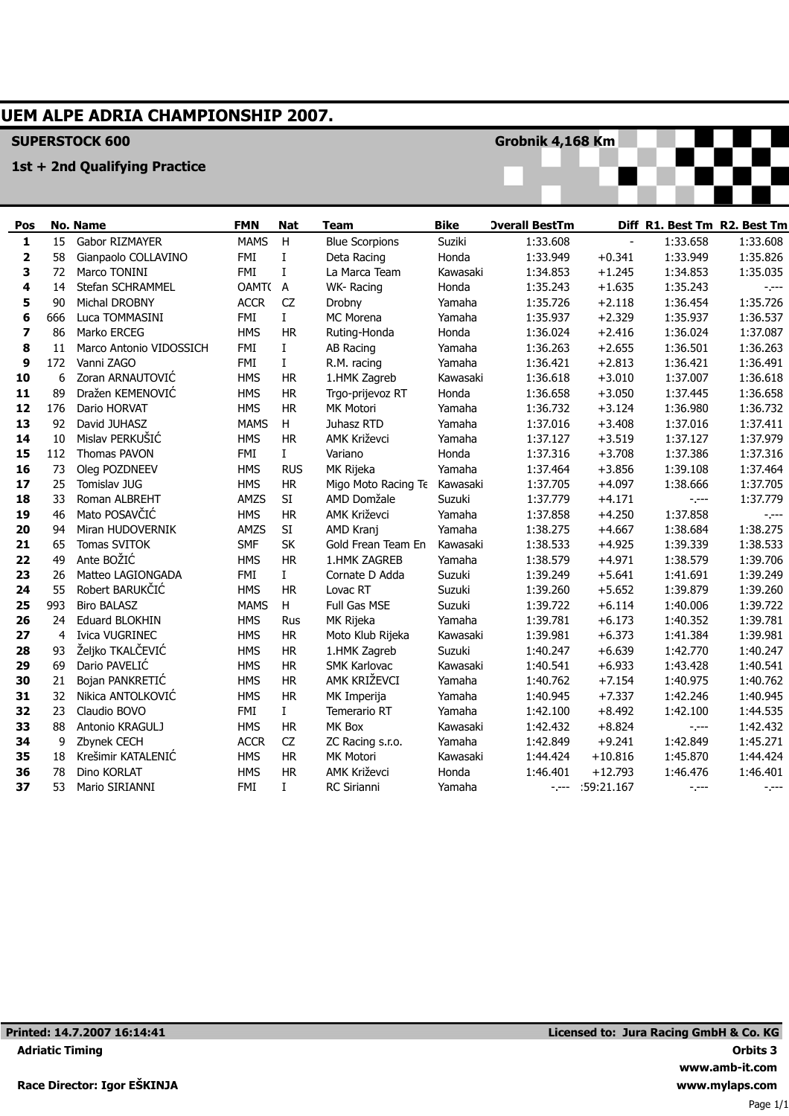# **UEM ALPE ADRIA CHAMPIONSHIP 2007.**

## **SUPERSTOCK 600**

#### **1st + 2nd Qualifying Practice**

**Grobnik 4,168 Km**



| Pos          |     | <b>No. Name</b>         | <b>FMN</b>  | <b>Nat</b>   | Team                  | <b>Bike</b> | <b>Overall BestTm</b>                                                                                                                                                                                                                                                                                                                                                                        |            | Diff R1. Best Tm R2. Best Tm |          |
|--------------|-----|-------------------------|-------------|--------------|-----------------------|-------------|----------------------------------------------------------------------------------------------------------------------------------------------------------------------------------------------------------------------------------------------------------------------------------------------------------------------------------------------------------------------------------------------|------------|------------------------------|----------|
| $\mathbf{1}$ | 15  | Gabor RIZMAYER          | <b>MAMS</b> | H            | <b>Blue Scorpions</b> | Suziki      | 1:33.608                                                                                                                                                                                                                                                                                                                                                                                     |            | 1:33.658                     | 1:33.608 |
| 2            | 58  | Gianpaolo COLLAVINO     | FMI         | I            | Deta Racing           | Honda       | 1:33.949                                                                                                                                                                                                                                                                                                                                                                                     | $+0.341$   | 1:33.949                     | 1:35.826 |
| 3            | 72  | Marco TONINI            | <b>FMI</b>  | I            | La Marca Team         | Kawasaki    | 1:34.853                                                                                                                                                                                                                                                                                                                                                                                     | $+1.245$   | 1:34.853                     | 1:35.035 |
| 4            | 14  | <b>Stefan SCHRAMMEL</b> | OAMT(A      |              | WK-Racing             | Honda       | 1:35.243                                                                                                                                                                                                                                                                                                                                                                                     | $+1.635$   | 1:35.243                     | $-1$     |
| 5            | 90  | <b>Michal DROBNY</b>    | <b>ACCR</b> | CZ           | Drobny                | Yamaha      | 1:35.726                                                                                                                                                                                                                                                                                                                                                                                     | $+2.118$   | 1:36.454                     | 1:35.726 |
| 6            | 666 | Luca TOMMASINI          | FMI         | $\bf I$      | MC Morena             | Yamaha      | 1:35.937                                                                                                                                                                                                                                                                                                                                                                                     | $+2.329$   | 1:35.937                     | 1:36.537 |
| 7            | 86  | Marko ERCEG             | <b>HMS</b>  | <b>HR</b>    | Ruting-Honda          | Honda       | 1:36.024                                                                                                                                                                                                                                                                                                                                                                                     | $+2.416$   | 1:36.024                     | 1:37.087 |
| 8            | 11  | Marco Antonio VIDOSSICH | <b>FMI</b>  | L            | AB Racing             | Yamaha      | 1:36.263                                                                                                                                                                                                                                                                                                                                                                                     | $+2.655$   | 1:36.501                     | 1:36.263 |
| 9            | 172 | Vanni ZAGO              | <b>FMI</b>  | $\mathbf{I}$ | R.M. racing           | Yamaha      | 1:36.421                                                                                                                                                                                                                                                                                                                                                                                     | $+2.813$   | 1:36.421                     | 1:36.491 |
| 10           | 6   | Zoran ARNAUTOVIC        | <b>HMS</b>  | <b>HR</b>    | 1.HMK Zagreb          | Kawasaki    | 1:36.618                                                                                                                                                                                                                                                                                                                                                                                     | $+3.010$   | 1:37.007                     | 1:36.618 |
| 11           | 89  | Dražen KEMENOVIĆ        | <b>HMS</b>  | <b>HR</b>    | Trgo-prijevoz RT      | Honda       | 1:36.658                                                                                                                                                                                                                                                                                                                                                                                     | $+3.050$   | 1:37.445                     | 1:36.658 |
| 12           | 176 | Dario HORVAT            | <b>HMS</b>  | <b>HR</b>    | MK Motori             | Yamaha      | 1:36.732                                                                                                                                                                                                                                                                                                                                                                                     | $+3.124$   | 1:36.980                     | 1:36.732 |
| 13           | 92  | David JUHASZ            | <b>MAMS</b> | H            | Juhasz RTD            | Yamaha      | 1:37.016                                                                                                                                                                                                                                                                                                                                                                                     | $+3.408$   | 1:37.016                     | 1:37.411 |
| 14           | 10  | Mislav PERKUŠIĆ         | <b>HMS</b>  | <b>HR</b>    | AMK Križevci          | Yamaha      | 1:37.127                                                                                                                                                                                                                                                                                                                                                                                     | $+3.519$   | 1:37.127                     | 1:37.979 |
| 15           | 112 | Thomas PAVON            | FMI         | $\mathbf{I}$ | Variano               | Honda       | 1:37.316                                                                                                                                                                                                                                                                                                                                                                                     | $+3.708$   | 1:37.386                     | 1:37.316 |
| 16           | 73  | Oleg POZDNEEV           | <b>HMS</b>  | <b>RUS</b>   | MK Rijeka             | Yamaha      | 1:37.464                                                                                                                                                                                                                                                                                                                                                                                     | $+3.856$   | 1:39.108                     | 1:37.464 |
| 17           | 25  | Tomislav JUG            | <b>HMS</b>  | HR           | Migo Moto Racing Te   | Kawasaki    | 1:37.705                                                                                                                                                                                                                                                                                                                                                                                     | $+4.097$   | 1:38.666                     | 1:37.705 |
| 18           | 33  | Roman ALBREHT           | AMZS        | SI           | AMD Domžale           | Suzuki      | 1:37.779                                                                                                                                                                                                                                                                                                                                                                                     | $+4.171$   | $-1 - -$                     | 1:37.779 |
| 19           | 46  | Mato POSAVČIĆ           | <b>HMS</b>  | <b>HR</b>    | AMK Križevci          | Yamaha      | 1:37.858                                                                                                                                                                                                                                                                                                                                                                                     | $+4.250$   | 1:37.858                     | -.---    |
| 20           | 94  | Miran HUDOVERNIK        | AMZS        | SI           | AMD Kranj             | Yamaha      | 1:38.275                                                                                                                                                                                                                                                                                                                                                                                     | $+4.667$   | 1:38.684                     | 1:38.275 |
| 21           | 65  | Tomas SVITOK            | <b>SMF</b>  | SK           | Gold Frean Team En    | Kawasaki    | 1:38.533                                                                                                                                                                                                                                                                                                                                                                                     | $+4.925$   | 1:39.339                     | 1:38.533 |
| 22           | 49  | Ante BOŽIĆ              | <b>HMS</b>  | <b>HR</b>    | 1.HMK ZAGREB          | Yamaha      | 1:38.579                                                                                                                                                                                                                                                                                                                                                                                     | $+4.971$   | 1:38.579                     | 1:39.706 |
| 23           | 26  | Matteo LAGIONGADA       | FMI         | $\mathbf I$  | Cornate D Adda        | Suzuki      | 1:39.249                                                                                                                                                                                                                                                                                                                                                                                     | $+5.641$   | 1:41.691                     | 1:39.249 |
| 24           | 55  | Robert BARUKČIĆ         | <b>HMS</b>  | <b>HR</b>    | Lovac RT              | Suzuki      | 1:39.260                                                                                                                                                                                                                                                                                                                                                                                     | $+5.652$   | 1:39.879                     | 1:39.260 |
| 25           | 993 | <b>Biro BALASZ</b>      | <b>MAMS</b> | H            | Full Gas MSE          | Suzuki      | 1:39.722                                                                                                                                                                                                                                                                                                                                                                                     | $+6.114$   | 1:40.006                     | 1:39.722 |
| 26           | 24  | <b>Eduard BLOKHIN</b>   | <b>HMS</b>  | <b>Rus</b>   | MK Rijeka             | Yamaha      | 1:39.781                                                                                                                                                                                                                                                                                                                                                                                     | $+6.173$   | 1:40.352                     | 1:39.781 |
| 27           | 4   | Ivica VUGRINEC          | <b>HMS</b>  | <b>HR</b>    | Moto Klub Rijeka      | Kawasaki    | 1:39.981                                                                                                                                                                                                                                                                                                                                                                                     | $+6.373$   | 1:41.384                     | 1:39.981 |
| 28           | 93  | Željko TKALČEVIĆ        | <b>HMS</b>  | <b>HR</b>    | 1.HMK Zagreb          | Suzuki      | 1:40.247                                                                                                                                                                                                                                                                                                                                                                                     | $+6.639$   | 1:42.770                     | 1:40.247 |
| 29           | 69  | Dario PAVELIC           | <b>HMS</b>  | <b>HR</b>    | <b>SMK Karlovac</b>   | Kawasaki    | 1:40.541                                                                                                                                                                                                                                                                                                                                                                                     | $+6.933$   | 1:43.428                     | 1:40.541 |
| 30           | 21  | Bojan PANKRETIC         | <b>HMS</b>  | <b>HR</b>    | AMK KRIŽEVCI          | Yamaha      | 1:40.762                                                                                                                                                                                                                                                                                                                                                                                     | $+7.154$   | 1:40.975                     | 1:40.762 |
| 31           | 32  | Nikica ANTOLKOVIĆ       | <b>HMS</b>  | <b>HR</b>    | MK Imperija           | Yamaha      | 1:40.945                                                                                                                                                                                                                                                                                                                                                                                     | $+7.337$   | 1:42.246                     | 1:40.945 |
| 32           | 23  | Claudio BOVO            | FMI         | $\mathbf I$  | Temerario RT          | Yamaha      | 1:42.100                                                                                                                                                                                                                                                                                                                                                                                     | $+8.492$   | 1:42.100                     | 1:44.535 |
| 33           | 88  | Antonio KRAGULJ         | <b>HMS</b>  | <b>HR</b>    | MK Box                | Kawasaki    | 1:42.432                                                                                                                                                                                                                                                                                                                                                                                     | $+8.824$   | $-1 - -$                     | 1:42.432 |
| 34           | 9   | Zbynek CECH             | <b>ACCR</b> | CZ           | ZC Racing s.r.o.      | Yamaha      | 1:42.849                                                                                                                                                                                                                                                                                                                                                                                     | $+9.241$   | 1:42.849                     | 1:45.271 |
| 35           | 18  | Krešimir KATALENIĆ      | <b>HMS</b>  | <b>HR</b>    | <b>MK Motori</b>      | Kawasaki    | 1:44.424                                                                                                                                                                                                                                                                                                                                                                                     | $+10.816$  | 1:45.870                     | 1:44.424 |
| 36           | 78  | Dino KORLAT             | <b>HMS</b>  | <b>HR</b>    | AMK Križevci          | Honda       | 1:46.401                                                                                                                                                                                                                                                                                                                                                                                     | $+12.793$  | 1:46.476                     | 1:46.401 |
| 37           | 53  | Mario SIRIANNI          | FMI         | $\mathbf I$  | RC Sirianni           | Yamaha      | $\frac{1}{2} \frac{1}{2} \frac{1}{2} \frac{1}{2} \frac{1}{2} \frac{1}{2} \frac{1}{2} \frac{1}{2} \frac{1}{2} \frac{1}{2} \frac{1}{2} \frac{1}{2} \frac{1}{2} \frac{1}{2} \frac{1}{2} \frac{1}{2} \frac{1}{2} \frac{1}{2} \frac{1}{2} \frac{1}{2} \frac{1}{2} \frac{1}{2} \frac{1}{2} \frac{1}{2} \frac{1}{2} \frac{1}{2} \frac{1}{2} \frac{1}{2} \frac{1}{2} \frac{1}{2} \frac{1}{2} \frac{$ | :59:21.167 | -.---                        | -.---    |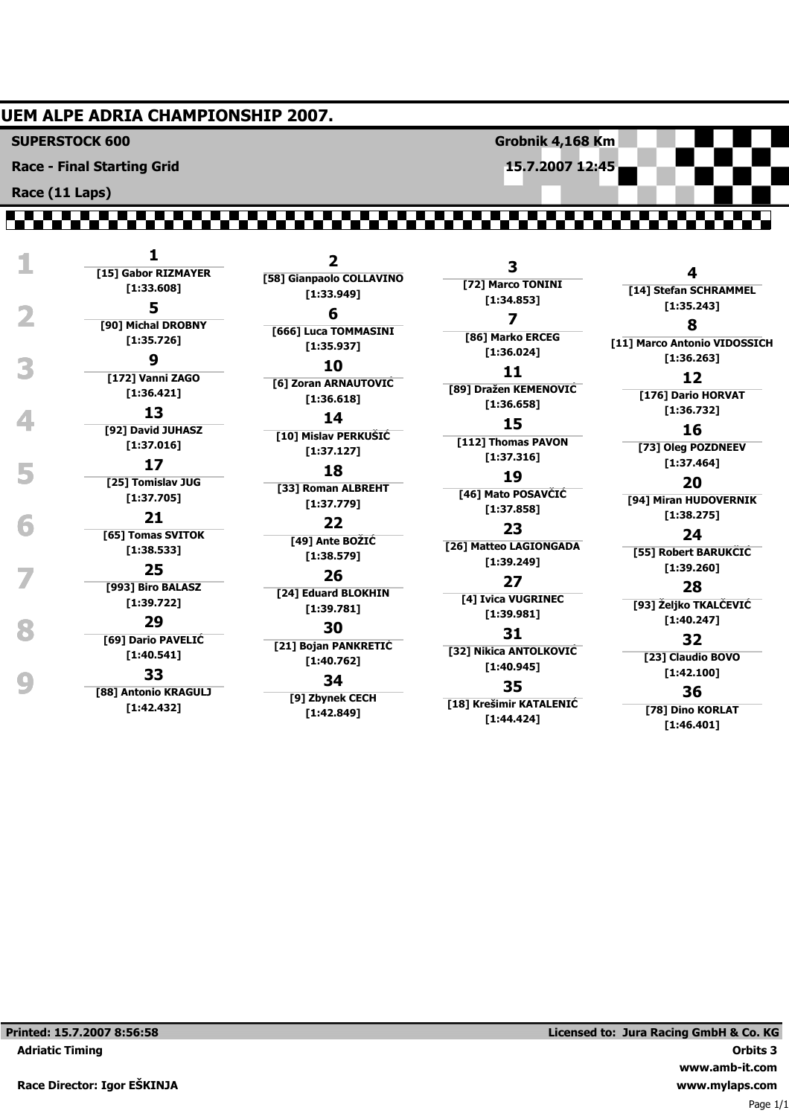#### **UEM ALPE ADRIA CHAMPIONSHIP 2007.**

**SUPERSTOCK 600**

**Race - Final Starting Grid**

**Race (11 Laps)**

,,,,,,,,,,,,,,,,,,,,,,,,,

|   |                                    | $\overline{2}$                     |                                        |                           |
|---|------------------------------------|------------------------------------|----------------------------------------|---------------------------|
|   | [15] Gabor RIZMAYER                | [58] Gianpaolo COLLAVINO           | 3<br>[72] Marco TONINI                 | 4                         |
|   | [1:33.608]                         | [1:33.949]                         | [1:34.853]                             | [14] Stefan SCHR          |
| 2 | 5                                  | 6                                  | 7                                      | [1:35.243]                |
|   | [90] Michal DROBNY<br>[1:35.726]   | [666] Luca TOMMASINI<br>[1:35.937] | [86] Marko ERCEG<br>[1:36.024]         | 8<br>[11] Marco Antonio V |
| 3 | 9                                  | 10                                 | 11                                     | [1:36.263]                |
|   | [172] Vanni ZAGO<br>[1:36.421]     | [6] Zoran ARNAUTOVIC<br>[1:36.618] | [89] Dražen KEMENOVIĆ                  | 12<br>[176] Dario HOI     |
|   | 13                                 | 14                                 | [1:36.658]                             | [1:36.732]                |
|   | [92] David JUHASZ<br>[1:37.016]    | [10] Mislav PERKUSIC<br>[1:37.127] | 15<br>[112] Thomas PAVON<br>[1:37.316] | 16<br>[73] Oleg POZD      |
| 5 | 17                                 | 18                                 | 19                                     | [1:37.464]                |
|   | [25] Tomislav JUG<br>[1:37.705]    | [33] Roman ALBREHT<br>[1:37.779]   | [46] Mato POSAVČIĆ<br>[1:37.858]       | 20<br>[94] Miran HUDO\    |
|   | 21                                 | 22                                 |                                        | [1:38.275]                |
|   | [65] Tomas SVITOK<br>[1:38.533]    | [49] Ante BOZIC<br>[1:38.579]      | 23<br>[26] Matteo LAGIONGADA           | 24<br>[55] Robert BAR     |
|   | 25                                 | 26                                 | [1:39.249]                             | [1:39.260]                |
|   | [993] Biro BALASZ<br>[1:39.722]    | [24] Eduard BLOKHIN                | 27<br>[4] Ivica VUGRINEC               | 28<br>[93] Żeljko TKAL    |
|   | 29                                 | [1:39.781]<br>30                   | [1:39.981]                             | [1:40.247]                |
|   | [69] Dario PAVELIC                 | [21] Bojan PANKRETIC               | 31                                     | 32                        |
|   | [1:40.541]                         | [1:40.762]                         | [32] Nikica ANTOLKOVIĆ<br>[1:40.945]   | [23] Claudio B            |
|   | 33                                 | 34                                 | 35                                     | [1:42.100]                |
|   | [88] Antonio KRAGULJ<br>[1:42.432] | [9] Zbynek CECH<br>1:42.8491       | [18] Krešimir KATALENIĆ                | 36<br>[78] Dino KOR       |

**Grobnik 4,168 Km 15.7.2007 12:45**

> **[14] Stefan SCHRAMMEL 8 [11] Marco Antonio VIDOSSICH 12 [176] Dario HORVAT 16 [73] Oleg POZDNEEV 20 [94] Miran HUDOVERNIK**

**[55] Robert BARUKČIĆ**

#### **28**

**[93] Željko TKALČEVIĆ**

# **32**

**[23] Claudio BOVO**

### **36**

**[78] Dino KORLAT [1:46.401]**

**Printed: 15.7.2007 8:56:58**

**Adriatic Timing**

Page 1/1